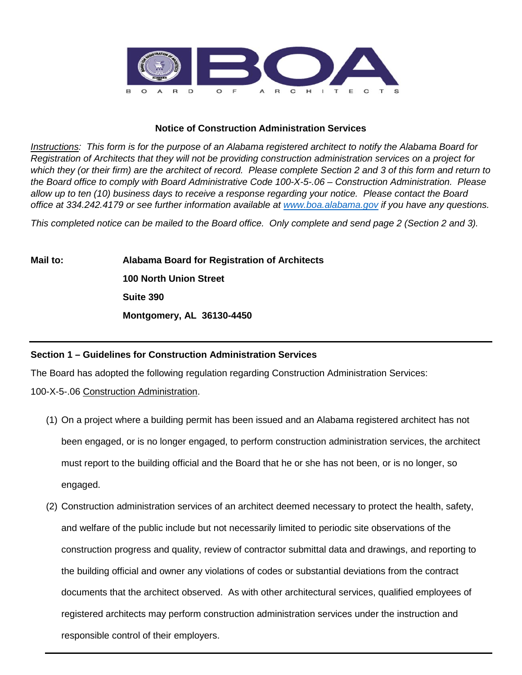

## **Notice of Construction Administration Services**

*Instructions: This form is for the purpose of an Alabama registered architect to notify the Alabama Board for Registration of Architects that they will not be providing construction administration services on a project for which they (or their firm) are the architect of record. Please complete Section 2 and 3 of this form and return to the Board office to comply with Board Administrative Code 100-X-5-.06 – Construction Administration. Please allow up to ten (10) business days to receive a response regarding your notice. Please contact the Board office at 334.242.4179 or see further information available at [www.boa.alabama.gov](http://www.boa.alabama.gov/) if you have any questions.*

*This completed notice can be mailed to the Board office. Only complete and send page 2 (Section 2 and 3).* 

**Mail to: Alabama Board for Registration of Architects 100 North Union Street Suite 390 Montgomery, AL 36130-4450**

## **Section 1 – Guidelines for Construction Administration Services**

The Board has adopted the following regulation regarding Construction Administration Services:

100-X-5-.06 Construction Administration.

- (1) On a project where a building permit has been issued and an Alabama registered architect has not been engaged, or is no longer engaged, to perform construction administration services, the architect must report to the building official and the Board that he or she has not been, or is no longer, so engaged.
- (2) Construction administration services of an architect deemed necessary to protect the health, safety, and welfare of the public include but not necessarily limited to periodic site observations of the construction progress and quality, review of contractor submittal data and drawings, and reporting to the building official and owner any violations of codes or substantial deviations from the contract documents that the architect observed. As with other architectural services, qualified employees of registered architects may perform construction administration services under the instruction and responsible control of their employers.